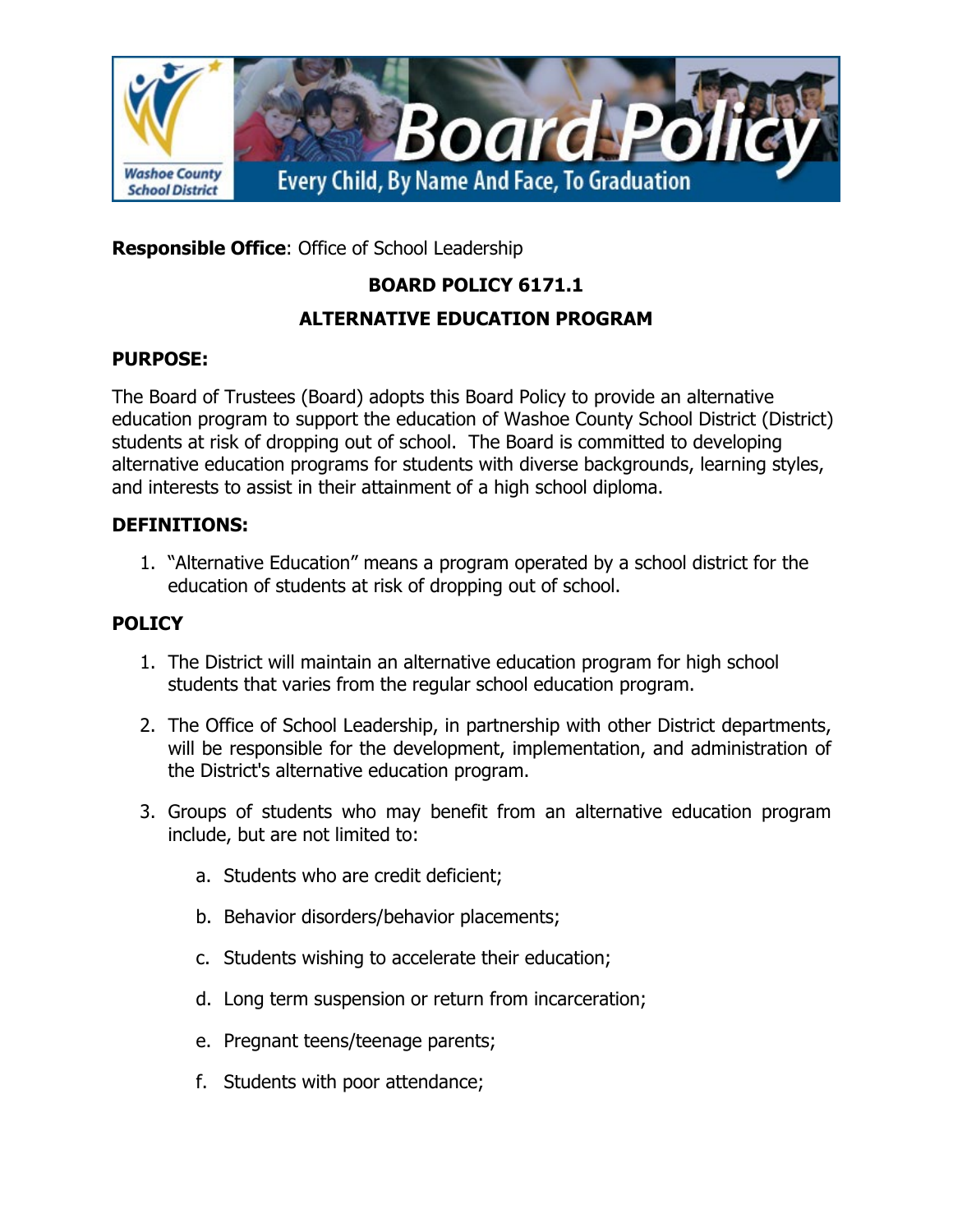

**Responsible Office**: Office of School Leadership

# **BOARD POLICY 6171.1**

# **ALTERNATIVE EDUCATION PROGRAM**

### **PURPOSE:**

The Board of Trustees (Board) adopts this Board Policy to provide an alternative education program to support the education of Washoe County School District (District) students at risk of dropping out of school. The Board is committed to developing alternative education programs for students with diverse backgrounds, learning styles, and interests to assist in their attainment of a high school diploma.

### **DEFINITIONS:**

1. "Alternative Education" means a program operated by a school district for the education of students at risk of dropping out of school.

## **POLICY**

- 1. The District will maintain an alternative education program for high school students that varies from the regular school education program.
- 2. The Office of School Leadership, in partnership with other District departments, will be responsible for the development, implementation, and administration of the District's alternative education program.
- 3. Groups of students who may benefit from an alternative education program include, but are not limited to:
	- a. Students who are credit deficient;
	- b. Behavior disorders/behavior placements;
	- c. Students wishing to accelerate their education;
	- d. Long term suspension or return from incarceration;
	- e. Pregnant teens/teenage parents;
	- f. Students with poor attendance;